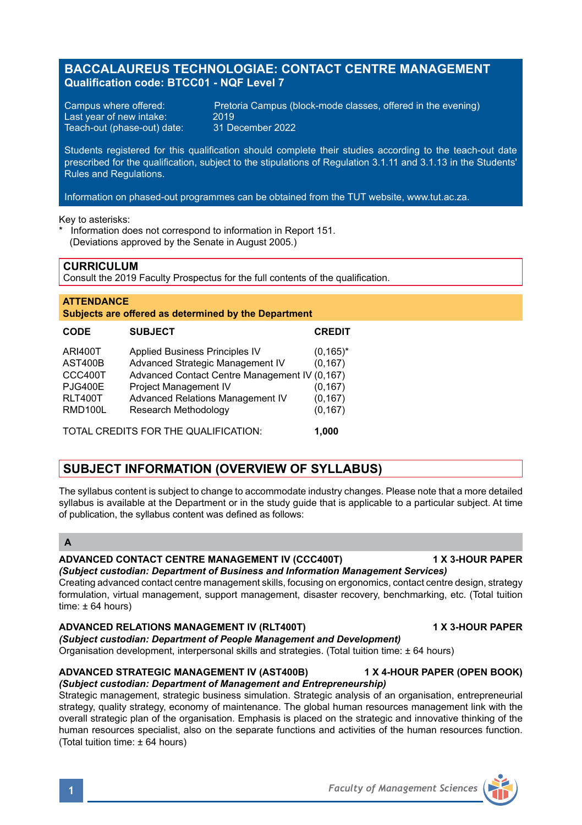## **BACCALAUREUS TECHNOLOGIAE: CONTACT CENTRE MANAGEMENT Qualification code: BTCC01 - NQF Level 7**

Last year of new intake: 2019<br>Teach-out (phase-out) date: 31 December 2022 Teach-out (phase-out) date:

Campus where offered: Pretoria Campus (block-mode classes, offered in the evening)<br>Last vear of new intake: 2019

Students registered for this qualification should complete their studies according to the teach-out date prescribed for the qualification, subject to the stipulations of Regulation 3.1.11 and 3.1.13 in the Students' Rules and Regulations.

Information on phased-out programmes can be obtained from the TUT website, www.tut.ac.za.

Key to asterisks:

Information does not correspond to information in Report 151. (Deviations approved by the Senate in August 2005.)

## **CURRICULUM**

Consult the 2019 Faculty Prospectus for the full contents of the qualification.

### **ATTENDANCE Subjects are offered as determined by the Department**

| <b>CODE</b>                      | <b>SUBJECT</b>                                                     | <b>CREDIT</b>            |
|----------------------------------|--------------------------------------------------------------------|--------------------------|
| <b>ARI400T</b><br>AST400B        | Applied Business Principles IV<br>Advanced Strategic Management IV | $(0, 165)^*$<br>(0, 167) |
| CCC400T                          | Advanced Contact Centre Management IV (0,167)                      |                          |
| <b>PJG400E</b><br><b>RLT400T</b> | Project Management IV<br>Advanced Relations Management IV          | (0, 167)<br>(0, 167)     |
| <b>RMD100L</b>                   | Research Methodology                                               | (0, 167)                 |
|                                  | TOTAL CREDITS FOR THE QUALIFICATION.                               | 1.000                    |

# **SUBJECT INFORMATION (OVERVIEW OF SYLLABUS)**

The syllabus content is subject to change to accommodate industry changes. Please note that a more detailed syllabus is available at the Department or in the study guide that is applicable to a particular subject. At time of publication, the syllabus content was defined as follows:

## **A**

## **ADVANCED CONTACT CENTRE MANAGEMENT IV (CCC400T) 1 X 3-HOUR PAPER**

*(Subject custodian: Department of Business and Information Management Services)* Creating advanced contact centre management skills, focusing on ergonomics, contact centre design, strategy formulation, virtual management, support management, disaster recovery, benchmarking, etc. (Total tuition time:  $\pm 64$  hours)

### **ADVANCED RELATIONS MANAGEMENT IV (RLT400T) 1 X 3-HOUR PAPER**

# *(Subject custodian: Department of People Management and Development)*

Organisation development, interpersonal skills and strategies. (Total tuition time: ± 64 hours)

### **ADVANCED STRATEGIC MANAGEMENT IV (AST400B) 1 X 4-HOUR PAPER (OPEN BOOK)** *(Subject custodian: Department of Management and Entrepreneurship)*

Strategic management, strategic business simulation. Strategic analysis of an organisation, entrepreneurial strategy, quality strategy, economy of maintenance. The global human resources management link with the overall strategic plan of the organisation. Emphasis is placed on the strategic and innovative thinking of the human resources specialist, also on the separate functions and activities of the human resources function. (Total tuition time: ± 64 hours)

**1** *Faculty of Management Sciences*